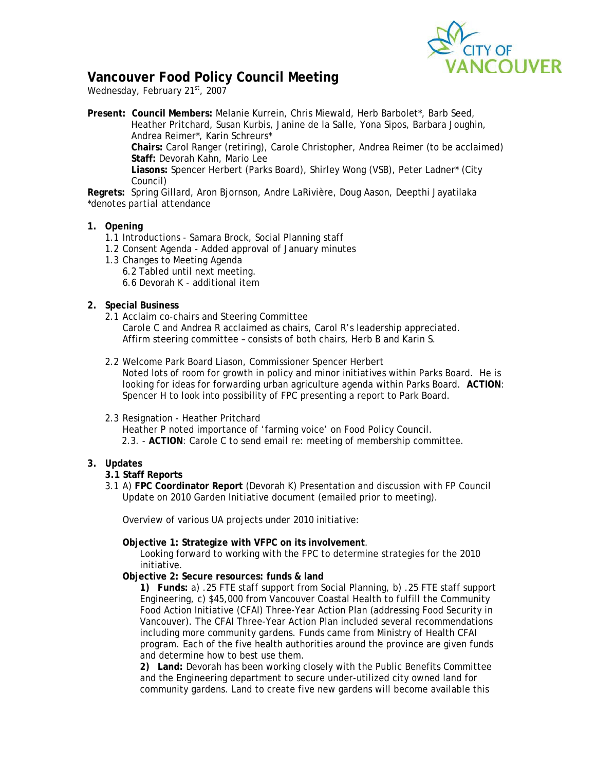

## **Vancouver Food Policy Council Meeting**

Wednesday, February 21st, 2007

**Present: Council Members:** Melanie Kurrein, Chris Miewald, Herb Barbolet\*, Barb Seed, Heather Pritchard, Susan Kurbis, Janine de la Salle, Yona Sipos, Barbara Joughin, Andrea Reimer\*, Karin Schreurs\* **Chairs:** Carol Ranger (retiring), Carole Christopher, Andrea Reimer (to be acclaimed) **Staff:** Devorah Kahn, Mario Lee **Liasons:** Spencer Herbert (Parks Board), Shirley Wong (VSB), Peter Ladner\* (City Council)

**Regrets:** Spring Gillard, Aron Bjornson, Andre LaRivière, Doug Aason, Deepthi Jayatilaka \**denotes partial attendance* 

- **1. Opening** 
	- 1.1 Introductions Samara Brock, Social Planning staff
	- 1.2 Consent Agenda Added approval of January minutes
	- 1.3 Changes to Meeting Agenda
		- 6.2 Tabled until next meeting.
		- 6.6 Devorah K additional item
- **2. Special Business** 
	- 2.1 Acclaim co-chairs and Steering Committee Carole C and Andrea R acclaimed as chairs, Carol R's leadership appreciated. Affirm steering committee – consists of both chairs, Herb B and Karin S.
	- 2.2 Welcome Park Board Liason, Commissioner Spencer Herbert

Noted lots of room for growth in policy and minor initiatives within Parks Board. He is looking for ideas for forwarding urban agriculture agenda within Parks Board. **ACTION**: Spencer H to look into possibility of FPC presenting a report to Park Board.

- 2.3 Resignation Heather Pritchard
	- Heather P noted importance of 'farming voice' on Food Policy Council.
	- 2.3. **ACTION**: Carole C to send email re: meeting of membership committee.
- **3. Updates** 
	- **3.1 Staff Reports**
	- 3.1 A) **FPC Coordinator Report** (Devorah K) Presentation and discussion with FP Council *Update on 2010 Garden Initiative* document (emailed prior to meeting).

Overview of various UA projects under 2010 initiative:

**Objective 1: Strategize with VFPC on its involvement**.

Looking forward to working with the FPC to determine strategies for the 2010 initiative.

**Objective 2: Secure resources: funds & land** 

**1) Funds:** a) .25 FTE staff support from Social Planning, b) .25 FTE staff support Engineering, c) \$45,000 from Vancouver Coastal Health to fulfill the Community Food Action Initiative (CFAI) Three-Year Action Plan (addressing Food Security in Vancouver). The CFAI Three-Year Action Plan included several recommendations including more community gardens. Funds came from Ministry of Health CFAI program. Each of the five health authorities around the province are given funds and determine how to best use them.

**2) Land:** Devorah has been working closely with the Public Benefits Committee and the Engineering department to secure under-utilized city owned land for community gardens. Land to create five new gardens will become available this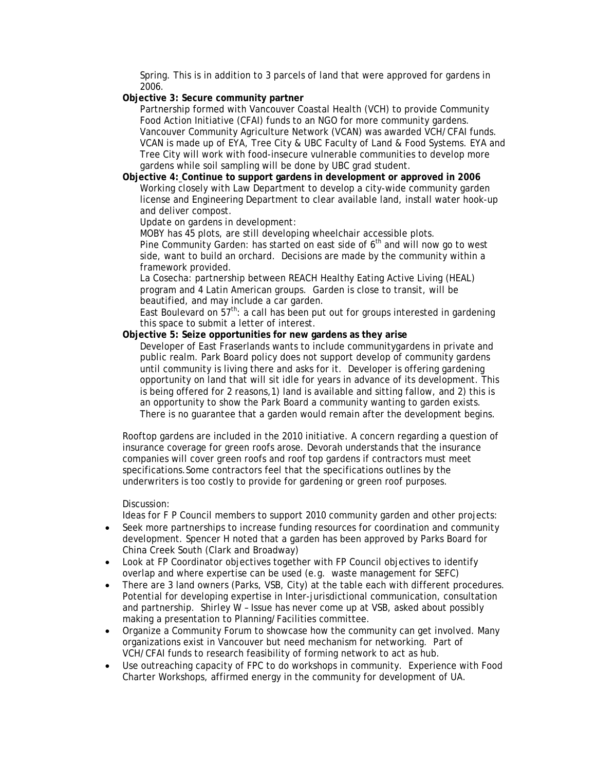Spring. This is in addition to 3 parcels of land that were approved for gardens in 2006.

**Objective 3: Secure community partner** 

Partnership formed with Vancouver Coastal Health (VCH) to provide Community Food Action Initiative (CFAI) funds to an NGO for more community gardens. Vancouver Community Agriculture Network (VCAN) was awarded VCH/CFAI funds. VCAN is made up of EYA, Tree City & UBC Faculty of Land & Food Systems. EYA and Tree City will work with food-insecure vulnerable communities to develop more gardens while soil sampling will be done by UBC grad student.

**Objective 4: Continue to support gardens in development or approved in 2006**  Working closely with Law Department to develop a city-wide community garden license and Engineering Department to clear available land, install water hook-up and deliver compost.

*Update on gardens in development:* 

MOBY has 45 plots, are still developing wheelchair accessible plots. Pine Community Garden: has started on east side of  $6<sup>th</sup>$  and will now go to west side, want to build an orchard. Decisions are made by the community within a framework provided.

La Cosecha: partnership between REACH Healthy Eating Active Living (HEAL) program and 4 Latin American groups. Garden is close to transit, will be beautified, and may include a car garden.

East Boulevard on  $57<sup>th</sup>$ : a call has been put out for groups interested in gardening this space to submit a letter of interest.

**Objective 5: Seize opportunities for new gardens as they arise** 

Developer of East Fraserlands wants to include communitygardens in private and public realm. Park Board policy does not support develop of community gardens until community is living there and asks for it. Developer is offering gardening opportunity on land that will sit idle for years in advance of its development. This is being offered for 2 reasons,1) land is available and sitting fallow, and 2) this is an opportunity to show the Park Board a community wanting to garden exists. There is no guarantee that a garden would remain after the development begins.

Rooftop gardens are included in the 2010 initiative. A concern regarding a question of insurance coverage for green roofs arose. Devorah understands that the insurance companies will cover green roofs and roof top gardens if contractors must meet specifications.Some contractors feel that the specifications outlines by the underwriters is too costly to provide for gardening or green roof purposes.

Discussion:

Ideas for F P Council members to support 2010 community garden and other projects:

- $\bullet$  Seek more partnerships to increase funding resources for coordination and community development. Spencer H noted that a garden has been approved by Parks Board for China Creek South (Clark and Broadway)
- - Look at FP Coordinator objectives together with FP Council objectives to identify overlap and where expertise can be used (e.g. waste management for SEFC)
- $\bullet$  There are 3 land owners (Parks, VSB, City) at the table each with different procedures. Potential for developing expertise in Inter-jurisdictional communication, consultation and partnership. Shirley W – Issue has never come up at VSB, asked about possibly making a presentation to Planning/Facilities committee.
- $\bullet$  Organize a Community Forum to showcase how the community can get involved. Many organizations exist in Vancouver but need mechanism for networking. Part of VCH/CFAI funds to research feasibility of forming network to act as hub.
- $\bullet$  Use outreaching capacity of FPC to do workshops in community. Experience with Food Charter Workshops, affirmed energy in the community for development of UA.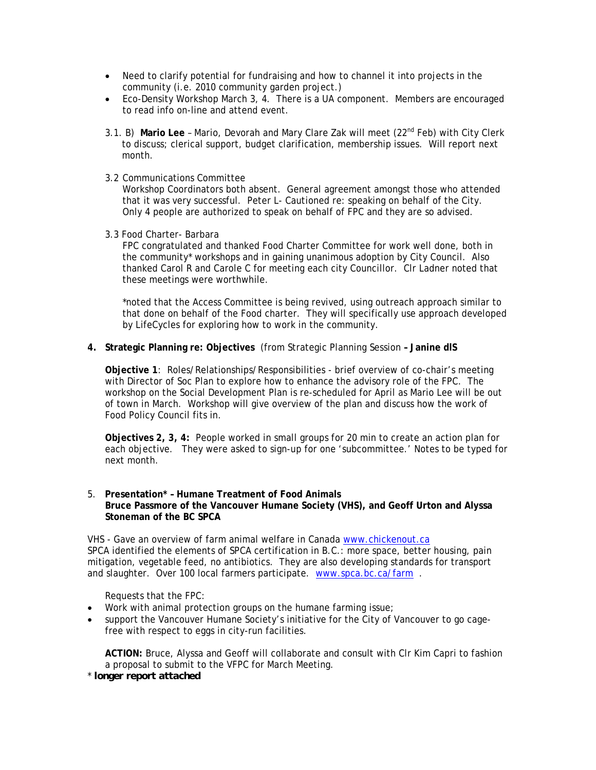- Need to clarify potential for fundraising and how to channel it into projects in the community (i.e. 2010 community garden project.)
- Eco-Density Workshop March 3, 4. There is a UA component. Members are encouraged to read info on-line and attend event.
- 3.1. B) **Mario Lee** Mario, Devorah and Mary Clare Zak will meet (22nd Feb) with City Clerk to discuss; clerical support, budget clarification, membership issues. Will report next month.
- 3.2 Communications Committee

Workshop Coordinators both absent. General agreement amongst those who attended that it was very successful. Peter L- Cautioned re: speaking on behalf of the City. Only 4 people are authorized to speak on behalf of FPC and they are so advised.

3.3 Food Charter- Barbara

FPC congratulated and thanked Food Charter Committee for work well done, both in the community\* workshops and in gaining unanimous adoption by City Council. Also thanked Carol R and Carole C for meeting each city Councillor. Clr Ladner noted that these meetings were worthwhile.

\*noted that the Access Committee is being revived, using outreach approach similar to that done on behalf of the Food charter. They will specifically use approach developed by LifeCycles for exploring how to work in the community.

**4. Strategic Planning re: Objectives** (from Strategic Planning Session **– Janine dlS** 

**Objective 1**: Roles/Relationships/Responsibilities - brief overview of co-chair's meeting with Director of Soc Plan to explore how to enhance the advisory role of the FPC. The workshop on the Social Development Plan is re-scheduled for April as Mario Lee will be out of town in March. Workshop will give overview of the plan and discuss how the work of Food Policy Council fits in.

**Objectives 2, 3, 4:** People worked in small groups for 20 min to create an action plan for each objective. They were asked to sign-up for one 'subcommittee.' Notes to be typed for next month.

5. **Presentation\* – Humane Treatment of Food Animals Bruce Passmore of the Vancouver Humane Society (VHS), and Geoff Urton and Alyssa Stoneman of the BC SPCA** 

VHS - Gave an overview of farm animal welfare in Canada www.chickenout.ca SPCA identified the elements of SPCA certification in B.C.: more space, better housing, pain mitigation, vegetable feed, no antibiotics. They are also developing standards for transport and slaughter. Over 100 local farmers participate. www.spca.bc.ca/farm .

Requests that the FPC:

- Work with animal protection groups on the humane farming issue;
- support the Vancouver Humane Society's initiative for the City of Vancouver to go cagefree with respect to eggs in city-run facilities.

**ACTION:** Bruce, Alyssa and Geoff will collaborate and consult with Clr Kim Capri to fashion a proposal to submit to the VFPC for March Meeting.

\* *longer report attached*